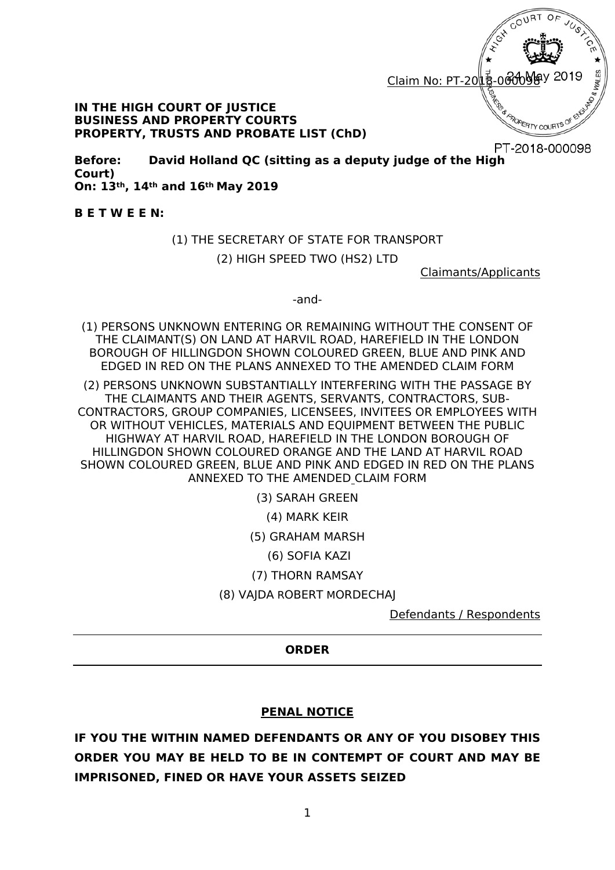

#### **IN THE HIGH COURT OF JUSTICE BUSINESS AND PROPERTY COURTS PROPERTY, TRUSTS AND PROBATE LIST (ChD)**

PT-2018-000098

**Before: David Holland QC (sitting as a deputy judge of the High Court) On: 13th, 14th and 16th May 2019** 

**B E T W E E N:**

#### (1) THE SECRETARY OF STATE FOR TRANSPORT

(2) HIGH SPEED TWO (HS2) LTD

Claimants/Applicants

-and-

(1) PERSONS UNKNOWN ENTERING OR REMAINING WITHOUT THE CONSENT OF THE CLAIMANT(S) ON LAND AT HARVIL ROAD, HAREFIELD IN THE LONDON BOROUGH OF HILLINGDON SHOWN COLOURED GREEN, BLUE AND PINK AND EDGED IN RED ON THE PLANS ANNEXED TO THE AMENDED CLAIM FORM

(2) PERSONS UNKNOWN SUBSTANTIALLY INTERFERING WITH THE PASSAGE BY THE CLAIMANTS AND THEIR AGENTS, SERVANTS, CONTRACTORS, SUB-CONTRACTORS, GROUP COMPANIES, LICENSEES, INVITEES OR EMPLOYEES WITH OR WITHOUT VEHICLES, MATERIALS AND EQUIPMENT BETWEEN THE PUBLIC HIGHWAY AT HARVIL ROAD, HAREFIELD IN THE LONDON BOROUGH OF HILLINGDON SHOWN COLOURED ORANGE AND THE LAND AT HARVIL ROAD SHOWN COLOURED GREEN, BLUE AND PINK AND EDGED IN RED ON THE PLANS ANNEXED TO THE AMENDED CLAIM FORM

(3) SARAH GREEN

(4) MARK KEIR

(5) GRAHAM MARSH

(6) SOFIA KAZI

(7) THORN RAMSAY

(8) VAJDA ROBERT MORDECHAJ

Defendants / Respondents

#### **ORDER**

### **PENAL NOTICE**

**IF YOU THE WITHIN NAMED DEFENDANTS OR ANY OF YOU DISOBEY THIS ORDER YOU MAY BE HELD TO BE IN CONTEMPT OF COURT AND MAY BE IMPRISONED, FINED OR HAVE YOUR ASSETS SEIZED**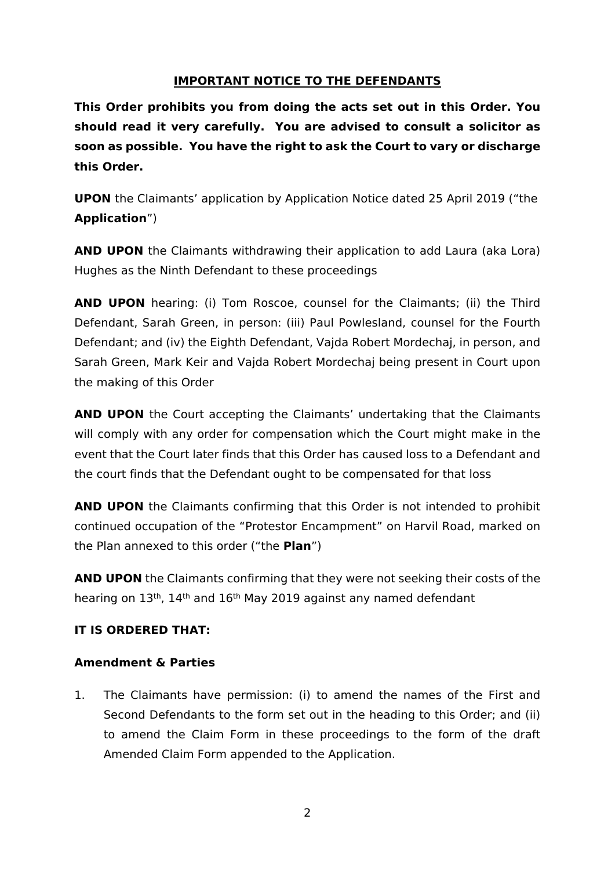### **IMPORTANT NOTICE TO THE DEFENDANTS**

**This Order prohibits you from doing the acts set out in this Order. You should read it very carefully. You are advised to consult a solicitor as soon as possible. You have the right to ask the Court to vary or discharge this Order.**

**UPON** the Claimants' application by Application Notice dated 25 April 2019 ("the **Application**")

**AND UPON** the Claimants withdrawing their application to add Laura (aka Lora) Hughes as the Ninth Defendant to these proceedings

**AND UPON** hearing: (i) Tom Roscoe, counsel for the Claimants; (ii) the Third Defendant, Sarah Green, in person: (iii) Paul Powlesland, counsel for the Fourth Defendant; and (iv) the Eighth Defendant, Vajda Robert Mordechaj, in person, and Sarah Green, Mark Keir and Vajda Robert Mordechaj being present in Court upon the making of this Order

**AND UPON** the Court accepting the Claimants' undertaking that the Claimants will comply with any order for compensation which the Court might make in the event that the Court later finds that this Order has caused loss to a Defendant and the court finds that the Defendant ought to be compensated for that loss

**AND UPON** the Claimants confirming that this Order is not intended to prohibit continued occupation of the "Protestor Encampment" on Harvil Road, marked on the Plan annexed to this order ("the **Plan**")

**AND UPON** the Claimants confirming that they were not seeking their costs of the hearing on 13th, 14th and 16th May 2019 against any named defendant

### **IT IS ORDERED THAT:**

### **Amendment & Parties**

1. The Claimants have permission: (i) to amend the names of the First and Second Defendants to the form set out in the heading to this Order; and (ii) to amend the Claim Form in these proceedings to the form of the draft Amended Claim Form appended to the Application.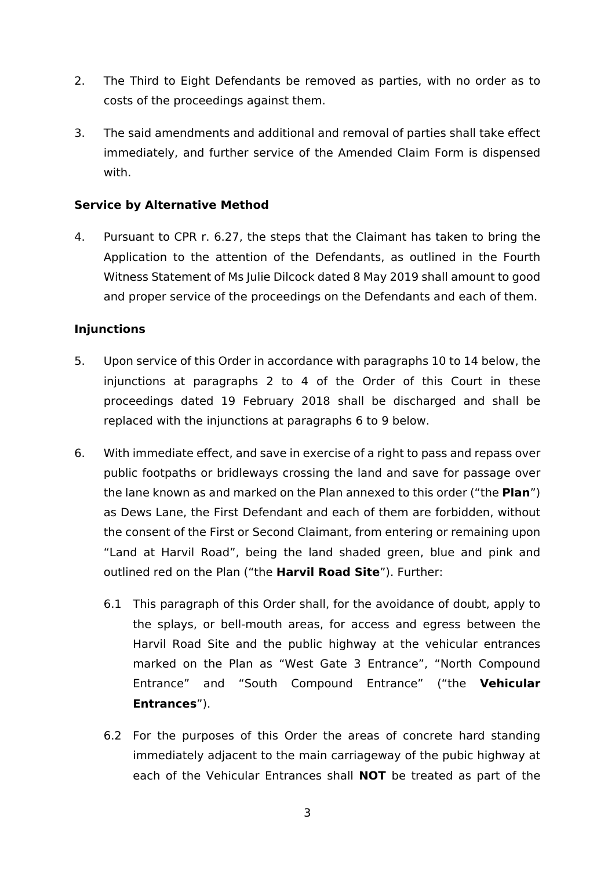- 2. The Third to Eight Defendants be removed as parties, with no order as to costs of the proceedings against them.
- 3. The said amendments and additional and removal of parties shall take effect immediately, and further service of the Amended Claim Form is dispensed with.

# **Service by Alternative Method**

4. Pursuant to CPR r. 6.27, the steps that the Claimant has taken to bring the Application to the attention of the Defendants, as outlined in the Fourth Witness Statement of Ms Julie Dilcock dated 8 May 2019 shall amount to good and proper service of the proceedings on the Defendants and each of them.

### **Injunctions**

- 5. Upon service of this Order in accordance with paragraphs 10 to 14 below, the injunctions at paragraphs 2 to 4 of the Order of this Court in these proceedings dated 19 February 2018 shall be discharged and shall be replaced with the injunctions at paragraphs 6 to 9 below.
- 6. With immediate effect, and save in exercise of a right to pass and repass over public footpaths or bridleways crossing the land and save for passage over the lane known as and marked on the Plan annexed to this order ("the **Plan**") as Dews Lane, the First Defendant and each of them are forbidden, without the consent of the First or Second Claimant, from entering or remaining upon "Land at Harvil Road", being the land shaded green, blue and pink and outlined red on the Plan ("the **Harvil Road Site**"). Further:
	- 6.1 This paragraph of this Order shall, for the avoidance of doubt, apply to the splays, or bell-mouth areas, for access and egress between the Harvil Road Site and the public highway at the vehicular entrances marked on the Plan as "West Gate 3 Entrance", "North Compound Entrance" and "South Compound Entrance" ("the **Vehicular Entrances**").
	- 6.2 For the purposes of this Order the areas of concrete hard standing immediately adjacent to the main carriageway of the pubic highway at each of the Vehicular Entrances shall **NOT** be treated as part of the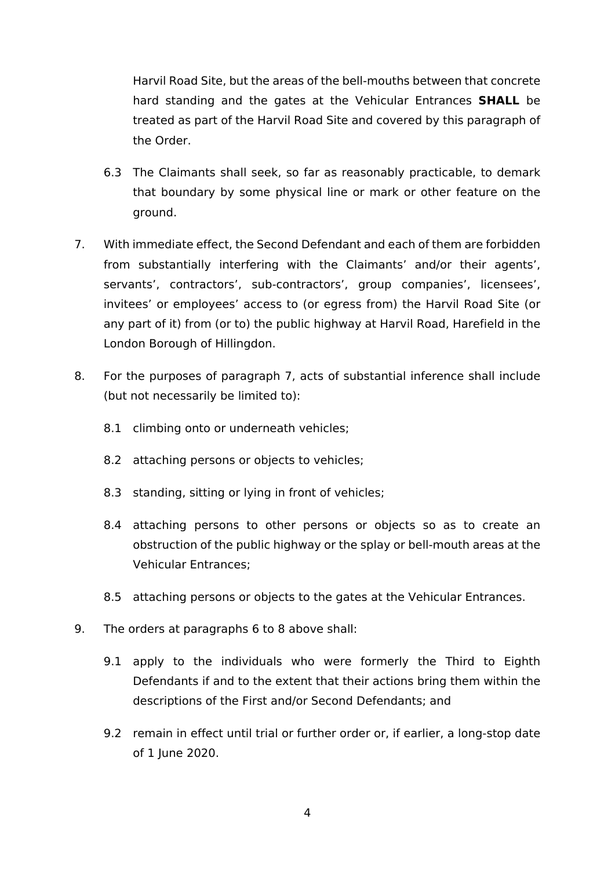Harvil Road Site, but the areas of the bell-mouths between that concrete hard standing and the gates at the Vehicular Entrances **SHALL** be treated as part of the Harvil Road Site and covered by this paragraph of the Order.

- 6.3 The Claimants shall seek, so far as reasonably practicable, to demark that boundary by some physical line or mark or other feature on the ground.
- 7. With immediate effect, the Second Defendant and each of them are forbidden from substantially interfering with the Claimants' and/or their agents', servants', contractors', sub-contractors', group companies', licensees', invitees' or employees' access to (or egress from) the Harvil Road Site (or any part of it) from (or to) the public highway at Harvil Road, Harefield in the London Borough of Hillingdon.
- 8. For the purposes of paragraph 7, acts of substantial inference shall include (but not necessarily be limited to):
	- 8.1 climbing onto or underneath vehicles;
	- 8.2 attaching persons or objects to vehicles;
	- 8.3 standing, sitting or lying in front of vehicles;
	- 8.4 attaching persons to other persons or objects so as to create an obstruction of the public highway or the splay or bell-mouth areas at the Vehicular Entrances;
	- 8.5 attaching persons or objects to the gates at the Vehicular Entrances.
- 9. The orders at paragraphs 6 to 8 above shall:
	- 9.1 apply to the individuals who were formerly the Third to Eighth Defendants if and to the extent that their actions bring them within the descriptions of the First and/or Second Defendants; and
	- 9.2 remain in effect until trial or further order or, if earlier, a long-stop date of 1 June 2020.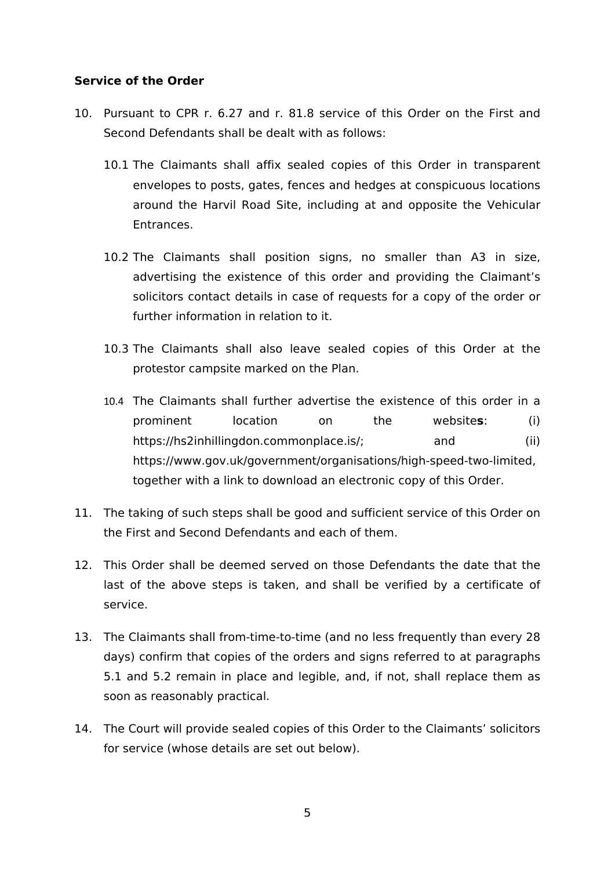## **Service of the Order**

- 10. Pursuant to CPR r. 6.27 and r. 81.8 service of this Order on the First and Second Defendants shall be dealt with as follows:
	- 10.1 The Claimants shall affix sealed copies of this Order in transparent envelopes to posts, gates, fences and hedges at conspicuous locations around the Harvil Road Site, including at and opposite the Vehicular **Entrances**
	- 10.2 The Claimants shall position signs, no smaller than A3 in size, advertising the existence of this order and providing the Claimant's solicitors contact details in case of requests for a copy of the order or further information in relation to it.
	- 10.3 The Claimants shall also leave sealed copies of this Order at the protestor campsite marked on the Plan.
	- 10.4 The Claimants shall further advertise the existence of this order in a prominent location on the website**s**: (i) https://hs2inhillingdon.commonplace.is/; and (ii) https://www.gov.uk/government/organisations/high-speed-two-limited, together with a link to download an electronic copy of this Order.
- 11. The taking of such steps shall be good and sufficient service of this Order on the First and Second Defendants and each of them.
- 12. This Order shall be deemed served on those Defendants the date that the last of the above steps is taken, and shall be verified by a certificate of service.
- 13. The Claimants shall from-time-to-time (and no less frequently than every 28 days) confirm that copies of the orders and signs referred to at paragraphs 5.1 and 5.2 remain in place and legible, and, if not, shall replace them as soon as reasonably practical.
- 14. The Court will provide sealed copies of this Order to the Claimants' solicitors for service (whose details are set out below).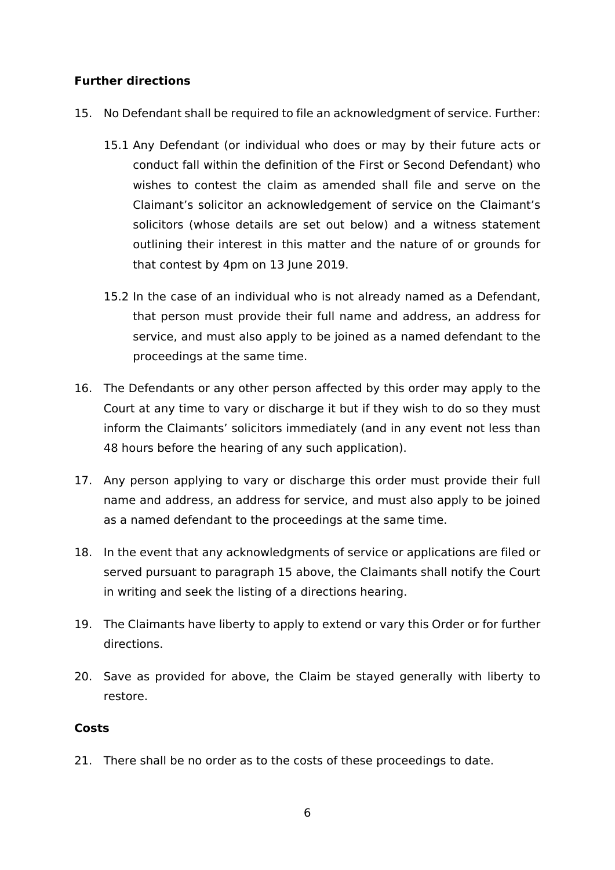# **Further directions**

- 15. No Defendant shall be required to file an acknowledgment of service. Further:
	- 15.1 Any Defendant (or individual who does or may by their future acts or conduct fall within the definition of the First or Second Defendant) who wishes to contest the claim as amended shall file and serve on the Claimant's solicitor an acknowledgement of service on the Claimant's solicitors (whose details are set out below) and a witness statement outlining their interest in this matter and the nature of or grounds for that contest by 4pm on 13 June 2019.
	- 15.2 In the case of an individual who is not already named as a Defendant, that person must provide their full name and address, an address for service, and must also apply to be joined as a named defendant to the proceedings at the same time.
- 16. The Defendants or any other person affected by this order may apply to the Court at any time to vary or discharge it but if they wish to do so they must inform the Claimants' solicitors immediately (and in any event not less than 48 hours before the hearing of any such application).
- 17. Any person applying to vary or discharge this order must provide their full name and address, an address for service, and must also apply to be joined as a named defendant to the proceedings at the same time.
- 18. In the event that any acknowledgments of service or applications are filed or served pursuant to paragraph 15 above, the Claimants shall notify the Court in writing and seek the listing of a directions hearing.
- 19. The Claimants have liberty to apply to extend or vary this Order or for further directions.
- 20. Save as provided for above, the Claim be stayed generally with liberty to restore.

### **Costs**

21. There shall be no order as to the costs of these proceedings to date.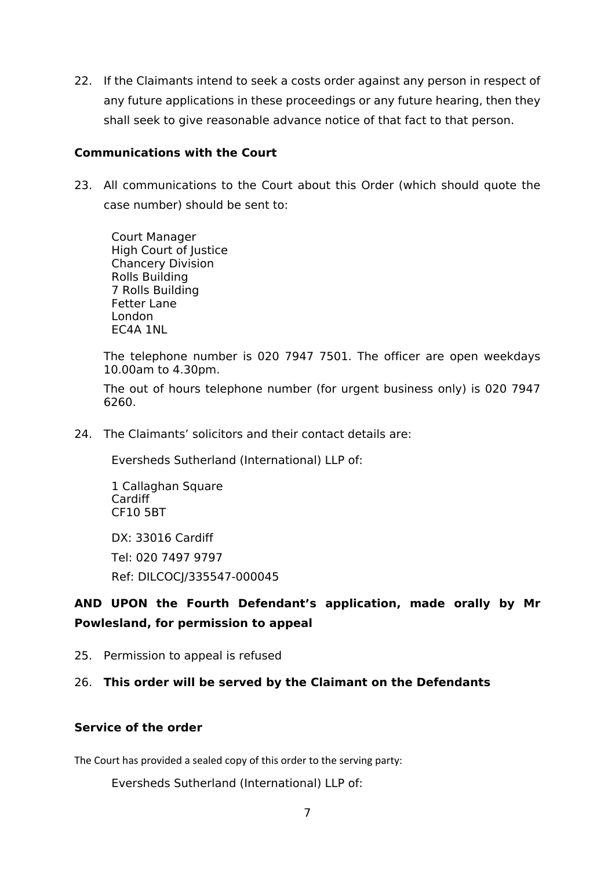22. If the Claimants intend to seek a costs order against any person in respect of any future applications in these proceedings or any future hearing, then they shall seek to give reasonable advance notice of that fact to that person.

## **Communications with the Court**

23. All communications to the Court about this Order (which should quote the case number) should be sent to:

Court Manager High Court of Justice Chancery Division Rolls Building 7 Rolls Building Fetter Lane London EC4A 1NL

The telephone number is 020 7947 7501. The officer are open weekdays 10.00am to 4.30pm.

The out of hours telephone number (for urgent business only) is 020 7947 6260.

24. The Claimants' solicitors and their contact details are:

Eversheds Sutherland (International) LLP of:

1 Callaghan Square Cardiff CF10 5BT

DX: 33016 Cardiff Tel: 020 7497 9797 Ref: DILCOCJ/335547-000045

# **AND UPON the Fourth Defendant's application, made orally by Mr Powlesland, for permission to appeal**

25. Permission to appeal is refused

### 26. **This order will be served by the Claimant on the Defendants**

### **Service of the order**

The Court has provided a sealed copy of this order to the serving party:

Eversheds Sutherland (International) LLP of: